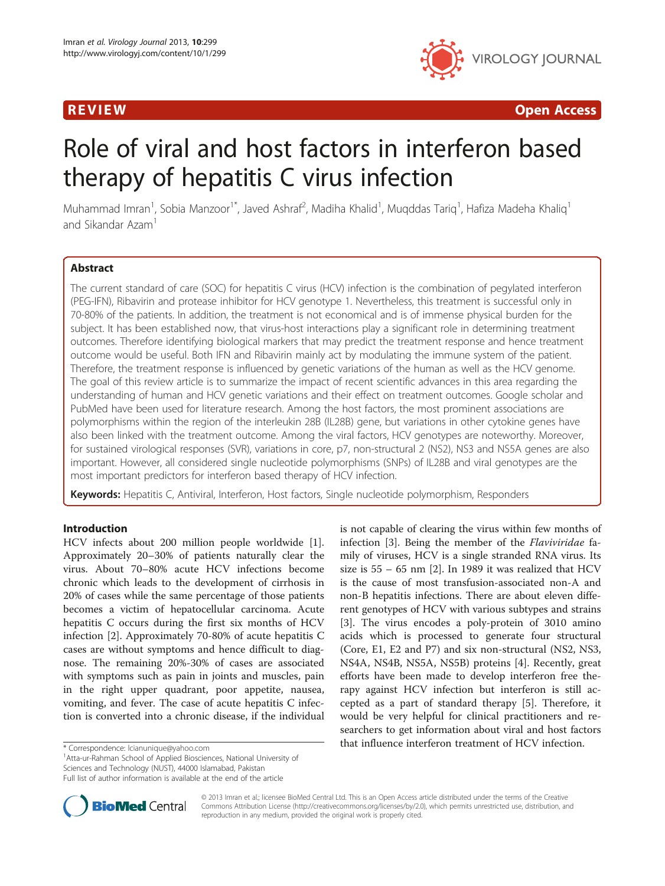

**REVIEW CONSUMING THE CONSUMING OPEN ACCESS** 

# Role of viral and host factors in interferon based therapy of hepatitis C virus infection

Muhammad Imran<sup>1</sup>, Sobia Manzoor<sup>1\*</sup>, Javed Ashraf<sup>2</sup>, Madiha Khalid<sup>1</sup>, Muqddas Tariq<sup>1</sup>, Hafiza Madeha Khaliq<sup>1</sup> and Sikandar Azam<sup>1</sup>

#### Abstract

The current standard of care (SOC) for hepatitis C virus (HCV) infection is the combination of pegylated interferon (PEG-IFN), Ribavirin and protease inhibitor for HCV genotype 1. Nevertheless, this treatment is successful only in 70-80% of the patients. In addition, the treatment is not economical and is of immense physical burden for the subject. It has been established now, that virus-host interactions play a significant role in determining treatment outcomes. Therefore identifying biological markers that may predict the treatment response and hence treatment outcome would be useful. Both IFN and Ribavirin mainly act by modulating the immune system of the patient. Therefore, the treatment response is influenced by genetic variations of the human as well as the HCV genome. The goal of this review article is to summarize the impact of recent scientific advances in this area regarding the understanding of human and HCV genetic variations and their effect on treatment outcomes. Google scholar and PubMed have been used for literature research. Among the host factors, the most prominent associations are polymorphisms within the region of the interleukin 28B (IL28B) gene, but variations in other cytokine genes have also been linked with the treatment outcome. Among the viral factors, HCV genotypes are noteworthy. Moreover, for sustained virological responses (SVR), variations in core, p7, non-structural 2 (NS2), NS3 and NS5A genes are also important. However, all considered single nucleotide polymorphisms (SNPs) of IL28B and viral genotypes are the most important predictors for interferon based therapy of HCV infection.

Keywords: Hepatitis C, Antiviral, Interferon, Host factors, Single nucleotide polymorphism, Responders

#### Introduction

HCV infects about 200 million people worldwide [\[1](#page-8-0)]. Approximately 20–30% of patients naturally clear the virus. About 70–80% acute HCV infections become chronic which leads to the development of cirrhosis in 20% of cases while the same percentage of those patients becomes a victim of hepatocellular carcinoma. Acute hepatitis C occurs during the first six months of HCV infection [\[2](#page-8-0)]. Approximately 70-80% of acute hepatitis C cases are without symptoms and hence difficult to diagnose. The remaining 20%-30% of cases are associated with symptoms such as pain in joints and muscles, pain in the right upper quadrant, poor appetite, nausea, vomiting, and fever. The case of acute hepatitis C infection is converted into a chronic disease, if the individual

<sup>1</sup> Atta-ur-Rahman School of Applied Biosciences, National University of Sciences and Technology (NUST), 44000 Islamabad, Pakistan

is not capable of clearing the virus within few months of infection [\[3](#page-8-0)]. Being the member of the Flaviviridae family of viruses, HCV is a single stranded RNA virus. Its size is  $55 - 65$  nm [[2\]](#page-8-0). In 1989 it was realized that HCV is the cause of most transfusion-associated non-A and non-B hepatitis infections. There are about eleven different genotypes of HCV with various subtypes and strains [[3\]](#page-8-0). The virus encodes a poly-protein of 3010 amino acids which is processed to generate four structural (Core, E1, E2 and P7) and six non-structural (NS2, NS3, NS4A, NS4B, NS5A, NS5B) proteins [\[4](#page-8-0)]. Recently, great efforts have been made to develop interferon free therapy against HCV infection but interferon is still accepted as a part of standard therapy [[5\]](#page-8-0). Therefore, it would be very helpful for clinical practitioners and researchers to get information about viral and host factors \* Correspondence: [lcianunique@yahoo.com](mailto:lcianunique@yahoo.com) **1996** that influence interferon treatment of HCV infection.



© 2013 Imran et al.; licensee BioMed Central Ltd. This is an Open Access article distributed under the terms of the Creative Commons Attribution License [\(http://creativecommons.org/licenses/by/2.0\)](http://creativecommons.org/licenses/by/2.0), which permits unrestricted use, distribution, and reproduction in any medium, provided the original work is properly cited.

Full list of author information is available at the end of the article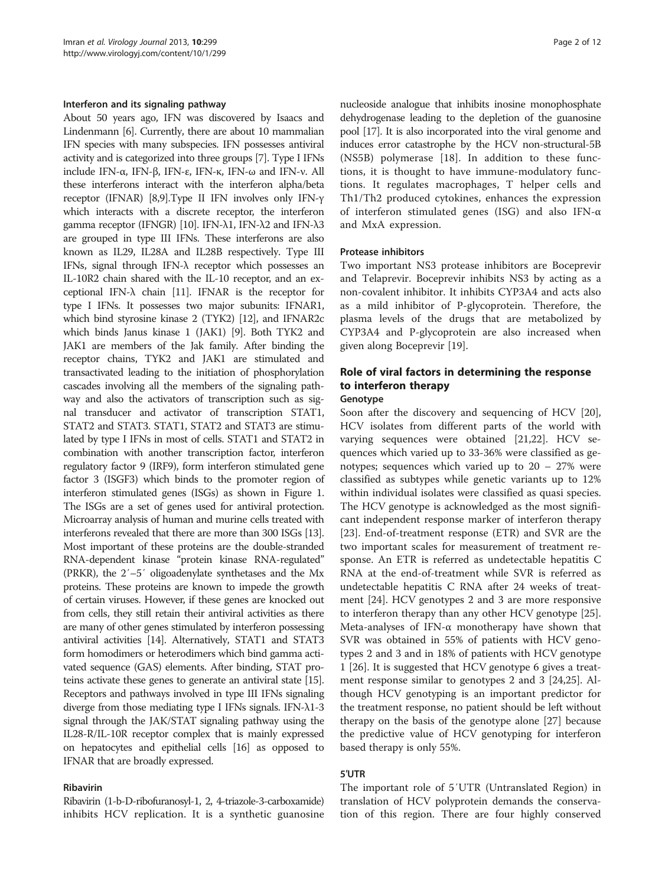#### Interferon and its signaling pathway

About 50 years ago, IFN was discovered by Isaacs and Lindenmann [[6](#page-8-0)]. Currently, there are about 10 mammalian IFN species with many subspecies. IFN possesses antiviral activity and is categorized into three groups [[7](#page-8-0)]. Type I IFNs include IFN-α, IFN-β, IFN-ε, IFN-κ, IFN-ω and IFN-ν. All these interferons interact with the interferon alpha/beta receptor (IFNAR) [\[8,9\]](#page-8-0).Type II IFN involves only IFN-γ which interacts with a discrete receptor, the interferon gamma receptor (IFNGR) [\[10](#page-8-0)]. IFN-λ1, IFN-λ2 and IFN-λ3 are grouped in type III IFNs. These interferons are also known as IL29, IL28A and IL28B respectively. Type III IFNs, signal through IFN-λ receptor which possesses an IL-10R2 chain shared with the IL-10 receptor, and an exceptional IFN- $\lambda$  chain [\[11\]](#page-8-0). IFNAR is the receptor for type I IFNs. It possesses two major subunits: IFNAR1, which bind styrosine kinase 2 (TYK2) [\[12](#page-8-0)], and IFNAR2c which binds Janus kinase 1 (JAK1) [\[9\]](#page-8-0). Both TYK2 and JAK1 are members of the Jak family. After binding the receptor chains, TYK2 and JAK1 are stimulated and transactivated leading to the initiation of phosphorylation cascades involving all the members of the signaling pathway and also the activators of transcription such as signal transducer and activator of transcription STAT1, STAT2 and STAT3. STAT1, STAT2 and STAT3 are stimulated by type I IFNs in most of cells. STAT1 and STAT2 in combination with another transcription factor, interferon regulatory factor 9 (IRF9), form interferon stimulated gene factor 3 (ISGF3) which binds to the promoter region of interferon stimulated genes (ISGs) as shown in Figure [1](#page-2-0). The ISGs are a set of genes used for antiviral protection. Microarray analysis of human and murine cells treated with interferons revealed that there are more than 300 ISGs [\[13](#page-8-0)]. Most important of these proteins are the double-stranded RNA-dependent kinase "protein kinase RNA-regulated" (PRKR), the 2′–5′ oligoadenylate synthetases and the Mx proteins. These proteins are known to impede the growth of certain viruses. However, if these genes are knocked out from cells, they still retain their antiviral activities as there are many of other genes stimulated by interferon possessing antiviral activities [[14](#page-8-0)]. Alternatively, STAT1 and STAT3 form homodimers or heterodimers which bind gamma activated sequence (GAS) elements. After binding, STAT proteins activate these genes to generate an antiviral state [\[15](#page-8-0)]. Receptors and pathways involved in type III IFNs signaling diverge from those mediating type I IFNs signals. IFN-λ1-3 signal through the JAK/STAT signaling pathway using the IL28-R/IL-10R receptor complex that is mainly expressed on hepatocytes and epithelial cells [[16\]](#page-8-0) as opposed to IFNAR that are broadly expressed.

#### Ribavirin

nucleoside analogue that inhibits inosine monophosphate dehydrogenase leading to the depletion of the guanosine pool [\[17\]](#page-8-0). It is also incorporated into the viral genome and induces error catastrophe by the HCV non-structural-5B (NS5B) polymerase [[18\]](#page-8-0). In addition to these functions, it is thought to have immune-modulatory functions. It regulates macrophages, T helper cells and Th1/Th2 produced cytokines, enhances the expression of interferon stimulated genes (ISG) and also IFN-α and MxA expression.

### Protease inhibitors

Two important NS3 protease inhibitors are Boceprevir and Telaprevir. Boceprevir inhibits NS3 by acting as a non-covalent inhibitor. It inhibits CYP3A4 and acts also as a mild inhibitor of P-glycoprotein. Therefore, the plasma levels of the drugs that are metabolized by CYP3A4 and P-glycoprotein are also increased when given along Boceprevir [\[19](#page-8-0)].

### Role of viral factors in determining the response to interferon therapy Genotype

Soon after the discovery and sequencing of HCV [\[20](#page-8-0)], HCV isolates from different parts of the world with varying sequences were obtained [[21,22\]](#page-8-0). HCV sequences which varied up to 33-36% were classified as genotypes; sequences which varied up to 20 – 27% were classified as subtypes while genetic variants up to 12% within individual isolates were classified as quasi species. The HCV genotype is acknowledged as the most significant independent response marker of interferon therapy [[23\]](#page-8-0). End-of-treatment response (ETR) and SVR are the two important scales for measurement of treatment response. An ETR is referred as undetectable hepatitis C RNA at the end-of-treatment while SVR is referred as undetectable hepatitis C RNA after 24 weeks of treatment [[24](#page-8-0)]. HCV genotypes 2 and 3 are more responsive to interferon therapy than any other HCV genotype [\[25](#page-8-0)]. Meta-analyses of IFN-α monotherapy have shown that SVR was obtained in 55% of patients with HCV genotypes 2 and 3 and in 18% of patients with HCV genotype 1 [[26\]](#page-8-0). It is suggested that HCV genotype 6 gives a treatment response similar to genotypes 2 and 3 [[24,25\]](#page-8-0). Although HCV genotyping is an important predictor for the treatment response, no patient should be left without therapy on the basis of the genotype alone [\[27\]](#page-8-0) because the predictive value of HCV genotyping for interferon based therapy is only 55%.

### 5′UTR

The important role of 5′UTR (Untranslated Region) in translation of HCV polyprotein demands the conservation of this region. There are four highly conserved

Ribavirin (1-b-D-ribofuranosyl-1, 2, 4-triazole-3-carboxamide) inhibits HCV replication. It is a synthetic guanosine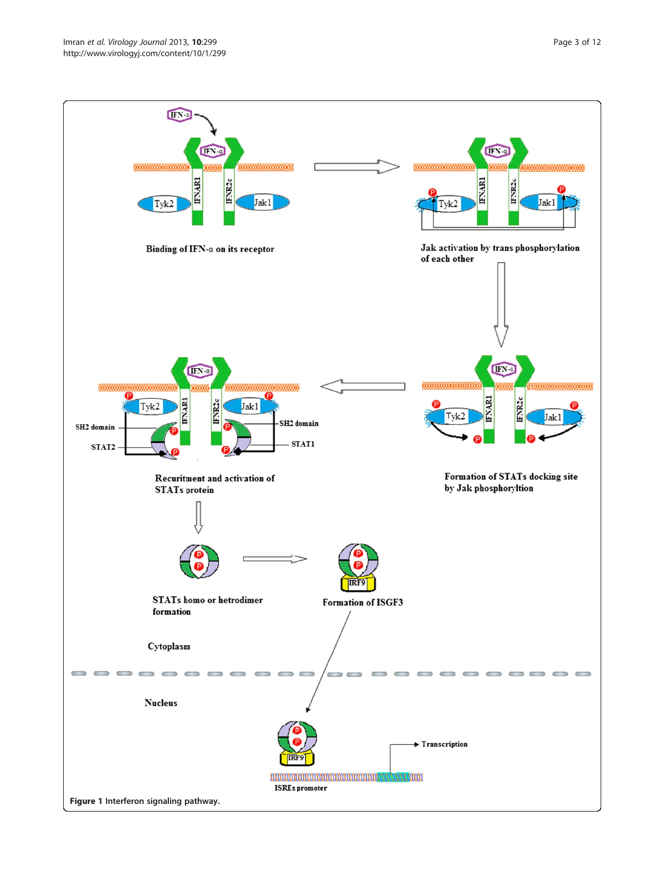<span id="page-2-0"></span>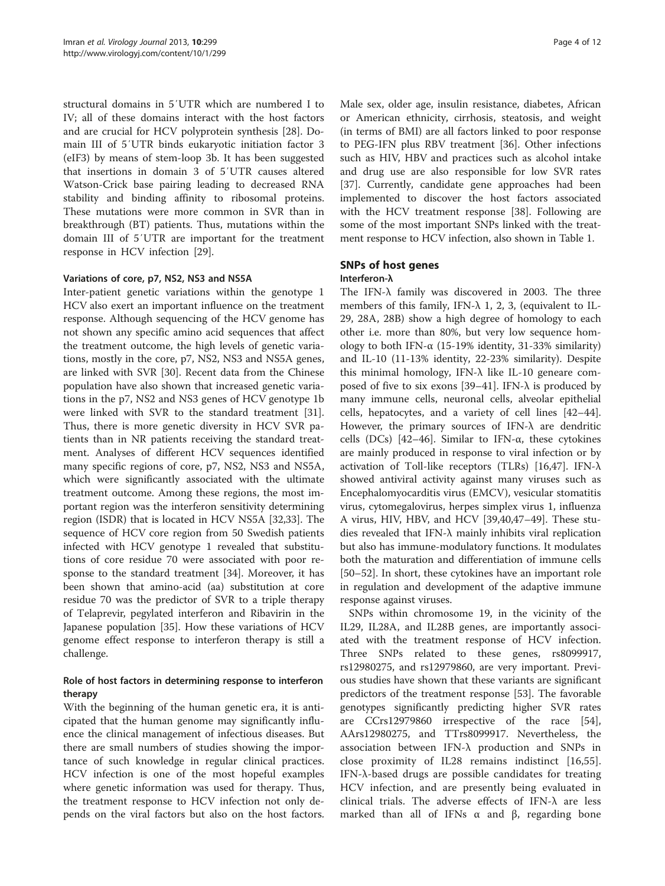structural domains in 5′UTR which are numbered I to IV; all of these domains interact with the host factors and are crucial for HCV polyprotein synthesis [\[28\]](#page-8-0). Domain III of 5′UTR binds eukaryotic initiation factor 3 (eIF3) by means of stem-loop 3b. It has been suggested that insertions in domain 3 of 5′UTR causes altered Watson-Crick base pairing leading to decreased RNA stability and binding affinity to ribosomal proteins. These mutations were more common in SVR than in breakthrough (BT) patients. Thus, mutations within the domain III of 5′UTR are important for the treatment response in HCV infection [[29](#page-8-0)].

#### Variations of core, p7, NS2, NS3 and NS5A

Inter-patient genetic variations within the genotype 1 HCV also exert an important influence on the treatment response. Although sequencing of the HCV genome has not shown any specific amino acid sequences that affect the treatment outcome, the high levels of genetic variations, mostly in the core, p7, NS2, NS3 and NS5A genes, are linked with SVR [\[30](#page-8-0)]. Recent data from the Chinese population have also shown that increased genetic variations in the p7, NS2 and NS3 genes of HCV genotype 1b were linked with SVR to the standard treatment [\[31](#page-8-0)]. Thus, there is more genetic diversity in HCV SVR patients than in NR patients receiving the standard treatment. Analyses of different HCV sequences identified many specific regions of core, p7, NS2, NS3 and NS5A, which were significantly associated with the ultimate treatment outcome. Among these regions, the most important region was the interferon sensitivity determining region (ISDR) that is located in HCV NS5A [\[32,33\]](#page-8-0). The sequence of HCV core region from 50 Swedish patients infected with HCV genotype 1 revealed that substitutions of core residue 70 were associated with poor response to the standard treatment [\[34\]](#page-8-0). Moreover, it has been shown that amino-acid (aa) substitution at core residue 70 was the predictor of SVR to a triple therapy of Telaprevir, pegylated interferon and Ribavirin in the Japanese population [[35](#page-8-0)]. How these variations of HCV genome effect response to interferon therapy is still a challenge.

#### Role of host factors in determining response to interferon therapy

With the beginning of the human genetic era, it is anticipated that the human genome may significantly influence the clinical management of infectious diseases. But there are small numbers of studies showing the importance of such knowledge in regular clinical practices. HCV infection is one of the most hopeful examples where genetic information was used for therapy. Thus, the treatment response to HCV infection not only depends on the viral factors but also on the host factors. Male sex, older age, insulin resistance, diabetes, African or American ethnicity, cirrhosis, steatosis, and weight (in terms of BMI) are all factors linked to poor response to PEG-IFN plus RBV treatment [[36\]](#page-9-0). Other infections such as HIV, HBV and practices such as alcohol intake and drug use are also responsible for low SVR rates [[37\]](#page-9-0). Currently, candidate gene approaches had been implemented to discover the host factors associated with the HCV treatment response [[38\]](#page-9-0). Following are some of the most important SNPs linked with the treatment response to HCV infection, also shown in Table [1](#page-4-0).

## SNPs of host genes

#### Interferon-λ

The IFN-λ family was discovered in 2003. The three members of this family, IFN- $\lambda$  1, 2, 3, (equivalent to IL-29, 28A, 28B) show a high degree of homology to each other i.e. more than 80%, but very low sequence homology to both IFN- $\alpha$  (15-19% identity, 31-33% similarity) and IL-10 (11-13% identity, 22-23% similarity). Despite this minimal homology, IFN-λ like IL-10 geneare com-posed of five to six exons [\[39](#page-9-0)–[41\]](#page-9-0). IFN- $\lambda$  is produced by many immune cells, neuronal cells, alveolar epithelial cells, hepatocytes, and a variety of cell lines [[42](#page-9-0)–[44](#page-9-0)]. However, the primary sources of IFN-λ are dendritic cells (DCs) [[42](#page-9-0)–[46](#page-9-0)]. Similar to IFN-α, these cytokines are mainly produced in response to viral infection or by activation of Toll-like receptors (TLRs) [\[16,](#page-8-0)[47\]](#page-9-0). IFN- $\lambda$ showed antiviral activity against many viruses such as Encephalomyocarditis virus (EMCV), vesicular stomatitis virus, cytomegalovirus, herpes simplex virus 1, influenza A virus, HIV, HBV, and HCV [[39,40,47](#page-9-0)–[49](#page-9-0)]. These studies revealed that IFN-λ mainly inhibits viral replication but also has immune-modulatory functions. It modulates both the maturation and differentiation of immune cells [[50](#page-9-0)–[52](#page-9-0)]. In short, these cytokines have an important role in regulation and development of the adaptive immune response against viruses.

SNPs within chromosome 19, in the vicinity of the IL29, IL28A, and IL28B genes, are importantly associated with the treatment response of HCV infection. Three SNPs related to these genes, rs8099917, rs12980275, and rs12979860, are very important. Previous studies have shown that these variants are significant predictors of the treatment response [\[53](#page-9-0)]. The favorable genotypes significantly predicting higher SVR rates are CCrs12979860 irrespective of the race [\[54](#page-9-0)], AArs12980275, and TTrs8099917. Nevertheless, the association between IFN-λ production and SNPs in close proximity of IL28 remains indistinct [[16,](#page-8-0)[55](#page-9-0)]. IFN-λ-based drugs are possible candidates for treating HCV infection, and are presently being evaluated in clinical trials. The adverse effects of  $IFN-\lambda$  are less marked than all of IFNs α and β, regarding bone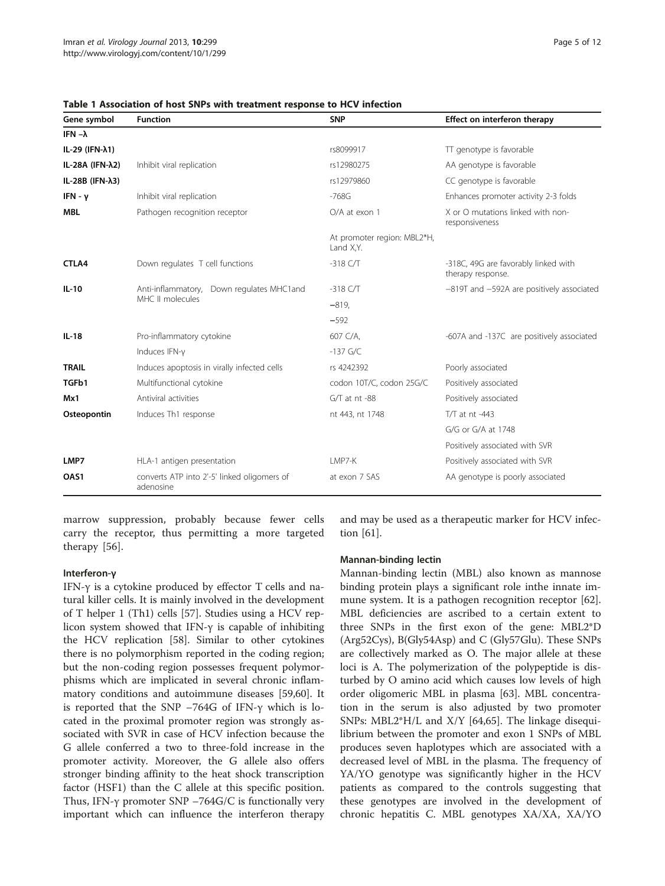| Gene symbol               | <b>Function</b>                                                   | <b>SNP</b>                               | Effect on interferon therapy                              |
|---------------------------|-------------------------------------------------------------------|------------------------------------------|-----------------------------------------------------------|
| IFN $-\lambda$            |                                                                   |                                          |                                                           |
| IL-29 (IFN-λ1)            |                                                                   | rs8099917                                | TT genotype is favorable                                  |
| IL-28A (IFN-λ2)           | Inhibit viral replication                                         | rs12980275                               | AA genotype is favorable                                  |
| IL-28B (IFN- $\lambda$ 3) |                                                                   | rs12979860                               | CC genotype is favorable                                  |
| IFN - $v$                 | Inhibit viral replication                                         | $-768G$                                  | Enhances promoter activity 2-3 folds                      |
| <b>MBL</b>                | Pathogen recognition receptor                                     | O/A at exon 1                            | X or O mutations linked with non-<br>responsiveness       |
|                           |                                                                   | At promoter region: MBL2*H,<br>Land X,Y. |                                                           |
| CTLA4                     | Down regulates T cell functions                                   | $-318$ C/T                               | -318C, 49G are favorably linked with<br>therapy response. |
| $IL-10$                   | Anti-inflammatory,<br>Down regulates MHC1 and<br>MHC II molecules | $-318$ C/T                               | -819T and -592A are positively associated                 |
|                           |                                                                   | $-819,$                                  |                                                           |
|                           |                                                                   | $-592$                                   |                                                           |
| $IL-18$                   | Pro-inflammatory cytokine                                         | 607 C/A,                                 | -607A and -137C are positively associated                 |
|                           | Induces IFN-y                                                     | $-137$ G/C                               |                                                           |
| <b>TRAIL</b>              | Induces apoptosis in virally infected cells                       | rs 4242392                               | Poorly associated                                         |
| TGFb1                     | Multifunctional cytokine                                          | codon 10T/C, codon 25G/C                 | Positively associated                                     |
| Mx1                       | Antiviral activities                                              | G/T at nt -88                            | Positively associated                                     |
| Osteopontin               | Induces Th1 response                                              | nt 443, nt 1748                          | $T/T$ at nt -443                                          |
|                           |                                                                   |                                          | G/G or G/A at 1748                                        |
|                           |                                                                   |                                          | Positively associated with SVR                            |
| LMP7                      | HLA-1 antigen presentation                                        | I MP7-K                                  | Positively associated with SVR                            |
| OAS1                      | converts ATP into 2'-5' linked oligomers of<br>adenosine          | at exon 7 SAS                            | AA genotype is poorly associated                          |

<span id="page-4-0"></span>Table 1 Association of host SNPs with treatment response to HCV infection

marrow suppression, probably because fewer cells carry the receptor, thus permitting a more targeted therapy [\[56](#page-9-0)].

#### Interferon-γ

IFN- $\gamma$  is a cytokine produced by effector T cells and natural killer cells. It is mainly involved in the development of T helper 1 (Th1) cells [\[57](#page-9-0)]. Studies using a HCV replicon system showed that IFN-γ is capable of inhibiting the HCV replication [[58\]](#page-9-0). Similar to other cytokines there is no polymorphism reported in the coding region; but the non-coding region possesses frequent polymorphisms which are implicated in several chronic inflammatory conditions and autoimmune diseases [[59](#page-9-0),[60](#page-9-0)]. It is reported that the SNP –764G of IFN-γ which is located in the proximal promoter region was strongly associated with SVR in case of HCV infection because the G allele conferred a two to three-fold increase in the promoter activity. Moreover, the G allele also offers stronger binding affinity to the heat shock transcription factor (HSF1) than the C allele at this specific position. Thus, IFN- $\gamma$  promoter SNP –764G/C is functionally very important which can influence the interferon therapy and may be used as a therapeutic marker for HCV infection [\[61\]](#page-9-0).

#### Mannan-binding lectin

Mannan-binding lectin (MBL) also known as mannose binding protein plays a significant role inthe innate immune system. It is a pathogen recognition receptor [\[62](#page-9-0)]. MBL deficiencies are ascribed to a certain extent to three SNPs in the first exon of the gene: MBL2\*D (Arg52Cys), B(Gly54Asp) and C (Gly57Glu). These SNPs are collectively marked as O. The major allele at these loci is A. The polymerization of the polypeptide is disturbed by O amino acid which causes low levels of high order oligomeric MBL in plasma [[63\]](#page-9-0). MBL concentration in the serum is also adjusted by two promoter SNPs: MBL2\*H/L and X/Y [\[64,65\]](#page-9-0). The linkage disequilibrium between the promoter and exon 1 SNPs of MBL produces seven haplotypes which are associated with a decreased level of MBL in the plasma. The frequency of YA/YO genotype was significantly higher in the HCV patients as compared to the controls suggesting that these genotypes are involved in the development of chronic hepatitis C. MBL genotypes XA/XA, XA/YO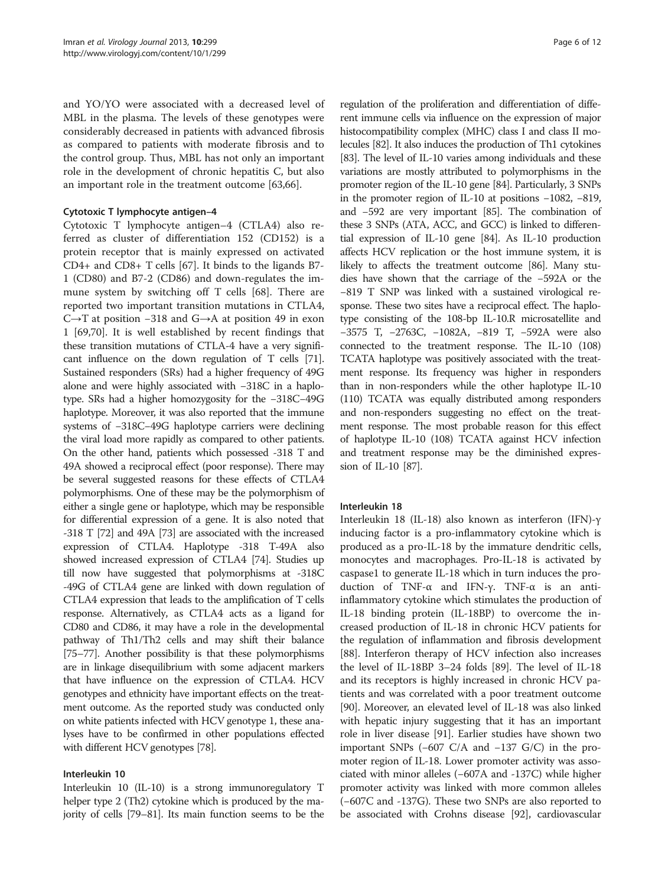and YO/YO were associated with a decreased level of MBL in the plasma. The levels of these genotypes were considerably decreased in patients with advanced fibrosis as compared to patients with moderate fibrosis and to the control group. Thus, MBL has not only an important role in the development of chronic hepatitis C, but also an important role in the treatment outcome [\[63,66](#page-9-0)].

#### Cytotoxic T lymphocyte antigen–4

Cytotoxic T lymphocyte antigen–4 (CTLA4) also referred as cluster of differentiation 152 (CD152) is a protein receptor that is mainly expressed on activated CD4+ and CD8+ T cells [\[67](#page-9-0)]. It binds to the ligands B7- 1 (CD80) and B7-2 (CD86) and down-regulates the immune system by switching off T cells [[68](#page-9-0)]. There are reported two important transition mutations in CTLA4, C→T at position −318 and G→A at position 49 in exon 1 [\[69,70](#page-9-0)]. It is well established by recent findings that these transition mutations of CTLA-4 have a very significant influence on the down regulation of T cells [\[71](#page-9-0)]. Sustained responders (SRs) had a higher frequency of 49G alone and were highly associated with −318C in a haplotype. SRs had a higher homozygosity for the −318C−49G haplotype. Moreover, it was also reported that the immune systems of −318C−49G haplotype carriers were declining the viral load more rapidly as compared to other patients. On the other hand, patients which possessed -318 T and 49A showed a reciprocal effect (poor response). There may be several suggested reasons for these effects of CTLA4 polymorphisms. One of these may be the polymorphism of either a single gene or haplotype, which may be responsible for differential expression of a gene. It is also noted that -318 T [[72](#page-9-0)] and 49A [\[73\]](#page-9-0) are associated with the increased expression of CTLA4. Haplotype -318 T-49A also showed increased expression of CTLA4 [\[74\]](#page-9-0). Studies up till now have suggested that polymorphisms at -318C -49G of CTLA4 gene are linked with down regulation of CTLA4 expression that leads to the amplification of T cells response. Alternatively, as CTLA4 acts as a ligand for CD80 and CD86, it may have a role in the developmental pathway of Th1/Th2 cells and may shift their balance [[75](#page-9-0)–[77](#page-9-0)]. Another possibility is that these polymorphisms are in linkage disequilibrium with some adjacent markers that have influence on the expression of CTLA4. HCV genotypes and ethnicity have important effects on the treatment outcome. As the reported study was conducted only on white patients infected with HCV genotype 1, these analyses have to be confirmed in other populations effected with different HCV genotypes [\[78\]](#page-9-0).

#### Interleukin 10

Interleukin 10 (IL-10) is a strong immunoregulatory T helper type 2 (Th2) cytokine which is produced by the majority of cells [[79](#page-9-0)–[81](#page-9-0)]. Its main function seems to be the

regulation of the proliferation and differentiation of different immune cells via influence on the expression of major histocompatibility complex (MHC) class I and class II molecules [\[82\]](#page-9-0). It also induces the production of Th1 cytokines [[83](#page-10-0)]. The level of IL-10 varies among individuals and these variations are mostly attributed to polymorphisms in the promoter region of the IL-10 gene [\[84\]](#page-10-0). Particularly, 3 SNPs in the promoter region of IL-10 at positions −1082, −819, and −592 are very important [[85\]](#page-10-0). The combination of these 3 SNPs (ATA, ACC, and GCC) is linked to differential expression of IL-10 gene [[84](#page-10-0)]. As IL-10 production affects HCV replication or the host immune system, it is likely to affects the treatment outcome [\[86\]](#page-10-0). Many studies have shown that the carriage of the −592A or the −819 T SNP was linked with a sustained virological response. These two sites have a reciprocal effect. The haplotype consisting of the 108-bp IL-10.R microsatellite and −3575 T, −2763C, −1082A, −819 T, −592A were also connected to the treatment response. The IL-10 (108) TCATA haplotype was positively associated with the treatment response. Its frequency was higher in responders than in non-responders while the other haplotype IL-10 (110) TCATA was equally distributed among responders and non-responders suggesting no effect on the treatment response. The most probable reason for this effect of haplotype IL-10 (108) TCATA against HCV infection and treatment response may be the diminished expression of IL-10 [\[87](#page-10-0)].

#### Interleukin 18

Interleukin 18 (IL-18) also known as interferon (IFN)-γ inducing factor is a pro-inflammatory cytokine which is produced as a pro-IL-18 by the immature dendritic cells, monocytes and macrophages. Pro-IL-18 is activated by caspase1 to generate IL-18 which in turn induces the production of TNF-α and IFN-γ. TNF-α is an antiinflammatory cytokine which stimulates the production of IL-18 binding protein (IL-18BP) to overcome the increased production of IL-18 in chronic HCV patients for the regulation of inflammation and fibrosis development [[88](#page-10-0)]. Interferon therapy of HCV infection also increases the level of IL-18BP 3–24 folds [[89](#page-10-0)]. The level of IL-18 and its receptors is highly increased in chronic HCV patients and was correlated with a poor treatment outcome [[90](#page-10-0)]. Moreover, an elevated level of IL-18 was also linked with hepatic injury suggesting that it has an important role in liver disease [[91](#page-10-0)]. Earlier studies have shown two important SNPs (−607 C/A and −137 G/C) in the promoter region of IL-18. Lower promoter activity was associated with minor alleles (−607A and -137C) while higher promoter activity was linked with more common alleles (−607C and -137G). These two SNPs are also reported to be associated with Crohns disease [[92](#page-10-0)], cardiovascular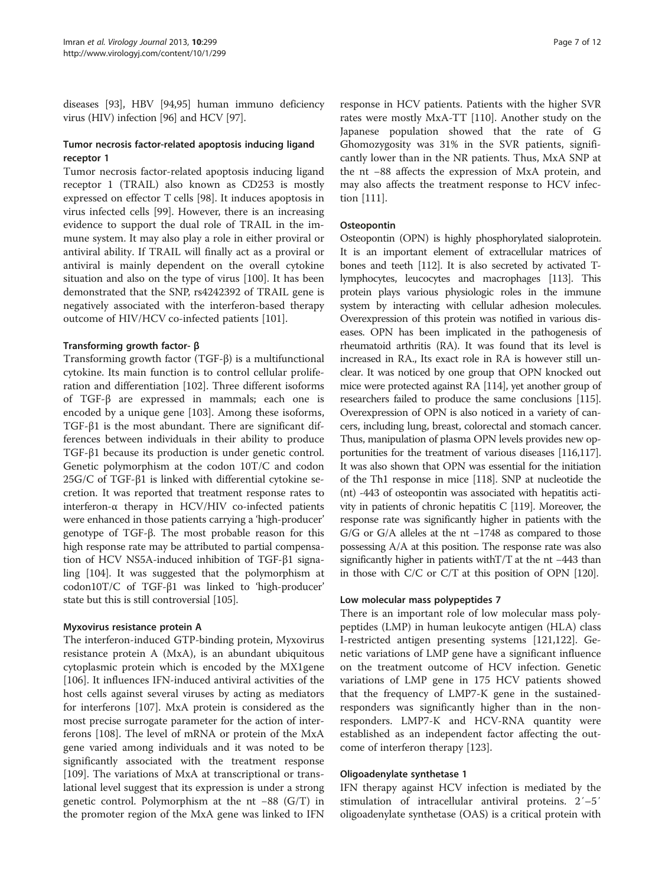diseases [\[93\]](#page-10-0), HBV [[94,95\]](#page-10-0) human immuno deficiency virus (HIV) infection [\[96\]](#page-10-0) and HCV [[97](#page-10-0)].

#### Tumor necrosis factor-related apoptosis inducing ligand receptor 1

Tumor necrosis factor-related apoptosis inducing ligand receptor 1 (TRAIL) also known as CD253 is mostly expressed on effector T cells [\[98](#page-10-0)]. It induces apoptosis in virus infected cells [[99\]](#page-10-0). However, there is an increasing evidence to support the dual role of TRAIL in the immune system. It may also play a role in either proviral or antiviral ability. If TRAIL will finally act as a proviral or antiviral is mainly dependent on the overall cytokine situation and also on the type of virus [\[100\]](#page-10-0). It has been demonstrated that the SNP, rs4242392 of TRAIL gene is negatively associated with the interferon-based therapy outcome of HIV/HCV co-infected patients [[101\]](#page-10-0).

#### Transforming growth factor- β

Transforming growth factor (TGF-β) is a multifunctional cytokine. Its main function is to control cellular proliferation and differentiation [[102\]](#page-10-0). Three different isoforms of TGF-β are expressed in mammals; each one is encoded by a unique gene [[103](#page-10-0)]. Among these isoforms, TGF-β1 is the most abundant. There are significant differences between individuals in their ability to produce TGF-β1 because its production is under genetic control. Genetic polymorphism at the codon 10T/C and codon 25G/C of TGF-β1 is linked with differential cytokine secretion. It was reported that treatment response rates to interferon- $\alpha$  therapy in HCV/HIV co-infected patients were enhanced in those patients carrying a 'high-producer' genotype of TGF-β. The most probable reason for this high response rate may be attributed to partial compensation of HCV NS5A-induced inhibition of TGF-β1 signaling [\[104](#page-10-0)]. It was suggested that the polymorphism at codon10T/C of TGF-β1 was linked to 'high-producer' state but this is still controversial [[105](#page-10-0)].

#### Myxovirus resistance protein A

The interferon-induced GTP-binding protein, Myxovirus resistance protein A (MxA), is an abundant ubiquitous cytoplasmic protein which is encoded by the MX1gene [[106\]](#page-10-0). It influences IFN-induced antiviral activities of the host cells against several viruses by acting as mediators for interferons [\[107\]](#page-10-0). MxA protein is considered as the most precise surrogate parameter for the action of interferons [\[108](#page-10-0)]. The level of mRNA or protein of the MxA gene varied among individuals and it was noted to be significantly associated with the treatment response [[109\]](#page-10-0). The variations of MxA at transcriptional or translational level suggest that its expression is under a strong genetic control. Polymorphism at the nt −88 (G/T) in the promoter region of the MxA gene was linked to IFN

response in HCV patients. Patients with the higher SVR rates were mostly MxA-TT [\[110\]](#page-10-0). Another study on the Japanese population showed that the rate of G Ghomozygosity was 31% in the SVR patients, significantly lower than in the NR patients. Thus, MxA SNP at the nt −88 affects the expression of MxA protein, and may also affects the treatment response to HCV infection [\[111\]](#page-10-0).

#### **Osteopontin**

Osteopontin (OPN) is highly phosphorylated sialoprotein. It is an important element of extracellular matrices of bones and teeth [\[112\]](#page-10-0). It is also secreted by activated Tlymphocytes, leucocytes and macrophages [\[113\]](#page-10-0). This protein plays various physiologic roles in the immune system by interacting with cellular adhesion molecules. Overexpression of this protein was notified in various diseases. OPN has been implicated in the pathogenesis of rheumatoid arthritis (RA). It was found that its level is increased in RA., Its exact role in RA is however still unclear. It was noticed by one group that OPN knocked out mice were protected against RA [\[114](#page-10-0)], yet another group of researchers failed to produce the same conclusions [\[115](#page-10-0)]. Overexpression of OPN is also noticed in a variety of cancers, including lung, breast, colorectal and stomach cancer. Thus, manipulation of plasma OPN levels provides new opportunities for the treatment of various diseases [\[116,117](#page-10-0)]. It was also shown that OPN was essential for the initiation of the Th1 response in mice [[118\]](#page-10-0). SNP at nucleotide the (nt) -443 of osteopontin was associated with hepatitis activity in patients of chronic hepatitis C [\[119\]](#page-10-0). Moreover, the response rate was significantly higher in patients with the G/G or G/A alleles at the nt −1748 as compared to those possessing A/A at this position. The response rate was also significantly higher in patients withT/T at the nt −443 than in those with C/C or C/T at this position of OPN [\[120](#page-10-0)].

#### Low molecular mass polypeptides 7

There is an important role of low molecular mass polypeptides (LMP) in human leukocyte antigen (HLA) class I-restricted antigen presenting systems [[121](#page-10-0),[122](#page-10-0)]. Genetic variations of LMP gene have a significant influence on the treatment outcome of HCV infection. Genetic variations of LMP gene in 175 HCV patients showed that the frequency of LMP7-K gene in the sustainedresponders was significantly higher than in the nonresponders. LMP7-K and HCV-RNA quantity were established as an independent factor affecting the outcome of interferon therapy [[123\]](#page-10-0).

#### Oligoadenylate synthetase 1

IFN therapy against HCV infection is mediated by the stimulation of intracellular antiviral proteins. 2′–5′ oligoadenylate synthetase (OAS) is a critical protein with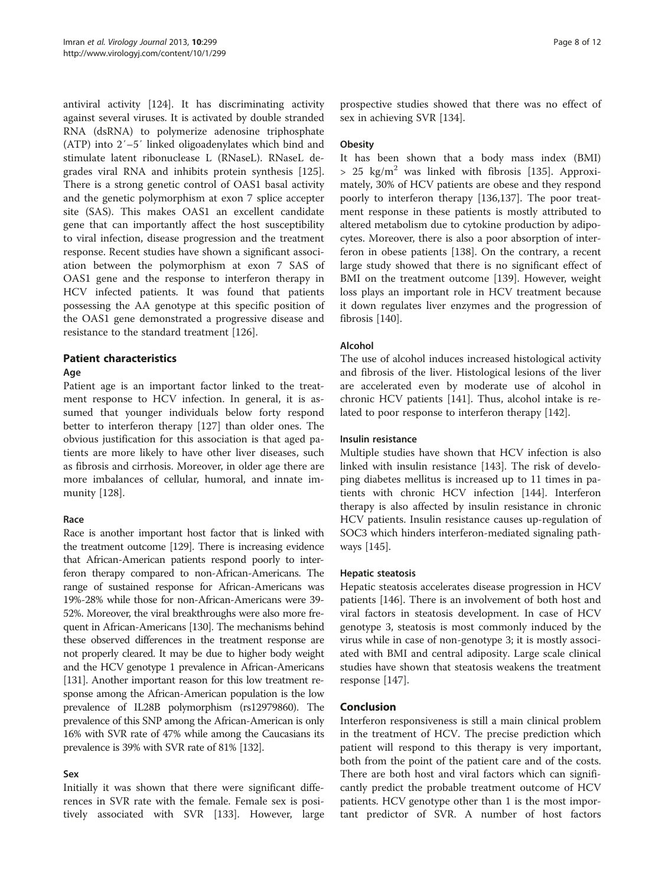antiviral activity [[124](#page-10-0)]. It has discriminating activity against several viruses. It is activated by double stranded RNA (dsRNA) to polymerize adenosine triphosphate (ATP) into 2′–5′ linked oligoadenylates which bind and stimulate latent ribonuclease L (RNaseL). RNaseL degrades viral RNA and inhibits protein synthesis [\[125](#page-11-0)]. There is a strong genetic control of OAS1 basal activity and the genetic polymorphism at exon 7 splice accepter site (SAS). This makes OAS1 an excellent candidate gene that can importantly affect the host susceptibility to viral infection, disease progression and the treatment response. Recent studies have shown a significant association between the polymorphism at exon 7 SAS of OAS1 gene and the response to interferon therapy in HCV infected patients. It was found that patients possessing the AA genotype at this specific position of the OAS1 gene demonstrated a progressive disease and resistance to the standard treatment [[126\]](#page-11-0).

#### Patient characteristics

#### Age

Patient age is an important factor linked to the treatment response to HCV infection. In general, it is assumed that younger individuals below forty respond better to interferon therapy [[127\]](#page-11-0) than older ones. The obvious justification for this association is that aged patients are more likely to have other liver diseases, such as fibrosis and cirrhosis. Moreover, in older age there are more imbalances of cellular, humoral, and innate immunity [[128\]](#page-11-0).

#### Race

Race is another important host factor that is linked with the treatment outcome [\[129](#page-11-0)]. There is increasing evidence that African-American patients respond poorly to interferon therapy compared to non-African-Americans. The range of sustained response for African-Americans was 19%-28% while those for non-African-Americans were 39- 52%. Moreover, the viral breakthroughs were also more frequent in African-Americans [\[130](#page-11-0)]. The mechanisms behind these observed differences in the treatment response are not properly cleared. It may be due to higher body weight and the HCV genotype 1 prevalence in African-Americans [[131\]](#page-11-0). Another important reason for this low treatment response among the African-American population is the low prevalence of IL28B polymorphism (rs12979860). The prevalence of this SNP among the African-American is only 16% with SVR rate of 47% while among the Caucasians its prevalence is 39% with SVR rate of 81% [\[132\]](#page-11-0).

#### Sex

Initially it was shown that there were significant differences in SVR rate with the female. Female sex is positively associated with SVR [[133](#page-11-0)]. However, large

prospective studies showed that there was no effect of sex in achieving SVR [[134](#page-11-0)].

#### **Obesity**

It has been shown that a body mass index (BMI)  $> 25$  kg/m<sup>2</sup> was linked with fibrosis [[135](#page-11-0)]. Approximately, 30% of HCV patients are obese and they respond poorly to interferon therapy [\[136,137\]](#page-11-0). The poor treatment response in these patients is mostly attributed to altered metabolism due to cytokine production by adipocytes. Moreover, there is also a poor absorption of interferon in obese patients [\[138](#page-11-0)]. On the contrary, a recent large study showed that there is no significant effect of BMI on the treatment outcome [\[139](#page-11-0)]. However, weight loss plays an important role in HCV treatment because it down regulates liver enzymes and the progression of fibrosis [\[140\]](#page-11-0).

#### Alcohol

The use of alcohol induces increased histological activity and fibrosis of the liver. Histological lesions of the liver are accelerated even by moderate use of alcohol in chronic HCV patients [[141\]](#page-11-0). Thus, alcohol intake is related to poor response to interferon therapy [[142\]](#page-11-0).

#### Insulin resistance

Multiple studies have shown that HCV infection is also linked with insulin resistance [\[143\]](#page-11-0). The risk of developing diabetes mellitus is increased up to 11 times in patients with chronic HCV infection [\[144](#page-11-0)]. Interferon therapy is also affected by insulin resistance in chronic HCV patients. Insulin resistance causes up-regulation of SOC3 which hinders interferon-mediated signaling pathways [\[145](#page-11-0)].

#### Hepatic steatosis

Hepatic steatosis accelerates disease progression in HCV patients [\[146\]](#page-11-0). There is an involvement of both host and viral factors in steatosis development. In case of HCV genotype 3, steatosis is most commonly induced by the virus while in case of non-genotype 3; it is mostly associated with BMI and central adiposity. Large scale clinical studies have shown that steatosis weakens the treatment response [[147](#page-11-0)].

#### Conclusion

Interferon responsiveness is still a main clinical problem in the treatment of HCV. The precise prediction which patient will respond to this therapy is very important, both from the point of the patient care and of the costs. There are both host and viral factors which can significantly predict the probable treatment outcome of HCV patients. HCV genotype other than 1 is the most important predictor of SVR. A number of host factors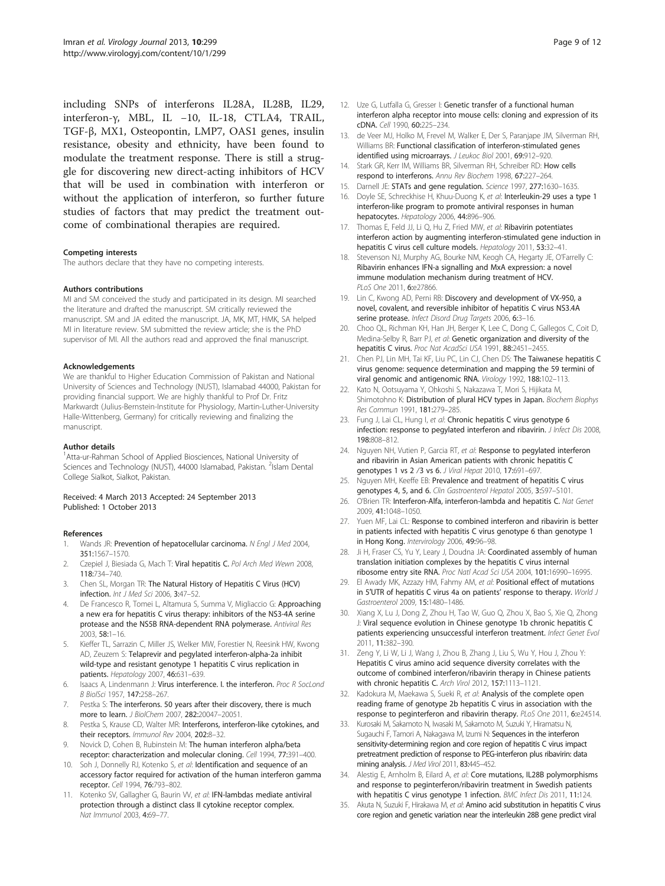<span id="page-8-0"></span>including SNPs of interferons IL28A, IL28B, IL29, interferon-γ, MBL, IL −10, IL-18, CTLA4, TRAIL, TGF-β, MX1, Osteopontin, LMP7, OAS1 genes, insulin resistance, obesity and ethnicity, have been found to modulate the treatment response. There is still a struggle for discovering new direct-acting inhibitors of HCV that will be used in combination with interferon or without the application of interferon, so further future studies of factors that may predict the treatment outcome of combinational therapies are required.

#### Competing interests

The authors declare that they have no competing interests.

#### Authors contributions

MI and SM conceived the study and participated in its design. MI searched the literature and drafted the manuscript. SM critically reviewed the manuscript. SM and JA edited the manuscript. JA, MK, MT, HMK, SA helped MI in literature review. SM submitted the review article; she is the PhD supervisor of MI. All the authors read and approved the final manuscript.

#### Acknowledgements

We are thankful to Higher Education Commission of Pakistan and National University of Sciences and Technology (NUST), Islamabad 44000, Pakistan for providing financial support. We are highly thankful to Prof Dr. Fritz Markwardt (Julius-Bernstein-Institute for Physiology, Martin-Luther-University Halle-Wittenberg, Germany) for critically reviewing and finalizing the manuscript.

#### Author details

<sup>1</sup> Atta-ur-Rahman School of Applied Biosciences, National University of Sciences and Technology (NUST), 44000 Islamabad, Pakistan. <sup>2</sup>Islam Dental College Sialkot, Sialkot, Pakistan.

#### Received: 4 March 2013 Accepted: 24 September 2013 Published: 1 October 2013

#### References

- 1. Wands JR: Prevention of hepatocellular carcinoma. N Engl J Med 2004, 351:1567–1570.
- 2. Czepiel J, Biesiada G, Mach T: Viral hepatitis C. Pol Arch Med Wewn 2008, 118:734–740.
- Chen SL, Morgan TR: The Natural History of Hepatitis C Virus (HCV) infection. Int J Med Sci 2006, 3:47–52.
- 4. De Francesco R, Tomei L, Altamura S, Summa V, Migliaccio G: Approaching a new era for hepatitis C virus therapy: inhibitors of the NS3-4A serine protease and the NS5B RNA-dependent RNA polymerase. Antiviral Res 2003, 58:1–16.
- 5. Kieffer TL, Sarrazin C, Miller JS, Welker MW, Forestier N, Reesink HW, Kwong AD, Zeuzem S: Telaprevir and pegylated interferon-alpha-2a inhibit wild-type and resistant genotype 1 hepatitis C virus replication in patients. Hepatology 2007, 46:631–639.
- 6. Isaacs A, Lindenmann J: Virus interference. I. the interferon. Proc R SocLond B BiolSci 1957, 147:258–267.
- 7. Pestka S: The interferons. 50 years after their discovery, there is much more to learn. J BiolChem 2007, 282:20047–20051.
- 8. Pestka S, Krause CD, Walter MR: Interferons, interferon-like cytokines, and their receptors. Immunol Rev 2004, 202:8–32.
- 9. Novick D, Cohen B, Rubinstein M: The human interferon alpha/beta receptor: characterization and molecular cloning. Cell 1994, 77:391–400.
- 10. Soh J, Donnelly RJ, Kotenko S, et al: Identification and sequence of an accessory factor required for activation of the human interferon gamma receptor. Cell 1994, 76:793–802.
- 11. Kotenko SV, Gallagher G, Baurin W, et al: IFN-lambdas mediate antiviral protection through a distinct class II cytokine receptor complex. Nat Immunol 2003, 4:69–77.
- 12. Uze G, Lutfalla G, Gresser I: Genetic transfer of a functional human interferon alpha receptor into mouse cells: cloning and expression of its cDNA. Cell 1990, 60:225–234.
- 13. de Veer MJ, Holko M, Frevel M, Walker E, Der S, Paranjape JM, Silverman RH, Williams BR: Functional classification of interferon-stimulated genes identified using microarrays. J Leukoc Biol 2001, 69:912-920.
- 14. Stark GR, Kerr IM, Williams BR, Silverman RH, Schreiber RD: How cells respond to interferons. Annu Rev Biochem 1998, 67:227-264.
- 15. Darnell JE: STATs and gene regulation. Science 1997, 277:1630-1635.
- 16. Doyle SE, Schreckhise H, Khuu-Duong K, et al: Interleukin-29 uses a type 1 interferon-like program to promote antiviral responses in human hepatocytes. Hepatology 2006, 44:896–906.
- 17. Thomas E, Feld JJ, Li Q, Hu Z, Fried MW, et al: Ribavirin potentiates interferon action by augmenting interferon-stimulated gene induction in hepatitis C virus cell culture models. Hepatology 2011, 53:32–41.
- 18. Stevenson NJ, Murphy AG, Bourke NM, Keogh CA, Hegarty JE, O'Farrelly C: Ribavirin enhances IFN-a signalling and MxA expression: a novel immune modulation mechanism during treatment of HCV. PLoS One 2011, 6:e27866.
- 19. Lin C, Kwong AD, Perni RB: Discovery and development of VX-950, a novel, covalent, and reversible inhibitor of hepatitis C virus NS3.4A serine protease. Infect Disord Drug Targets 2006, 6:3-16.
- 20. Choo QL, Richman KH, Han JH, Berger K, Lee C, Dong C, Gallegos C, Coit D, Medina-Selby R, Barr PJ, et al: Genetic organization and diversity of the hepatitis C virus. Proc Nat AcadSci USA 1991, 88:2451-2455.
- 21. Chen PJ, Lin MH, Tai KF, Liu PC, Lin CJ, Chen DS: The Taiwanese hepatitis C virus genome: sequence determination and mapping the 59 termini of viral genomic and antigenomic RNA. Virology 1992, 188:102–113.
- 22. Kato N, Ootsuyama Y, Ohkoshi S, Nakazawa T, Mori S, Hijikata M, Shimotohno K: Distribution of plural HCV types in Japan. Biochem Biophys Res Commun 1991, 181:279–285.
- 23. Fung J, Lai CL, Hung I, et al: Chronic hepatitis C virus genotype 6 infection: response to pegylated interferon and ribavirin. J Infect Dis 2008, 198:808–812.
- 24. Nguyen NH, Vutien P, Garcia RT, et al: Response to pegylated interferon and ribavirin in Asian American patients with chronic hepatitis C genotypes 1 vs 2 ⁄3 vs 6. J Viral Hepat 2010, 17:691–697.
- 25. Nguyen MH, Keeffe EB: Prevalence and treatment of hepatitis C virus genotypes 4, 5, and 6. Clin Gastroenterol Hepatol 2005, 3:S97–S101.
- 26. O'Brien TR: Interferon-Alfa, interferon-lambda and hepatitis C. Nat Genet 2009, 41:1048–1050.
- 27. Yuen MF, Lai CL: Response to combined interferon and ribavirin is better in patients infected with hepatitis C virus genotype 6 than genotype 1 in Hong Kong. Intervirology 2006, 49:96-98.
- 28. Ji H, Fraser CS, Yu Y, Leary J, Doudna JA: Coordinated assembly of human translation initiation complexes by the hepatitis C virus internal ribosome entry site RNA. Proc Natl Acad Sci USA 2004, 101:16990–16995.
- 29. El Awady MK, Azzazy HM, Fahmy AM, et al: Positional effect of mutations in 5'UTR of hepatitis C virus 4a on patients' response to therapy. World J Gastroenterol 2009, 15:1480–1486.
- 30. Xiang X, Lu J, Dong Z, Zhou H, Tao W, Guo Q, Zhou X, Bao S, Xie Q, Zhong J: Viral sequence evolution in Chinese genotype 1b chronic hepatitis C patients experiencing unsuccessful interferon treatment. Infect Genet Evol 2011, 11:382–390.
- 31. Zeng Y, Li W, Li J, Wang J, Zhou B, Zhang J, Liu S, Wu Y, Hou J, Zhou Y: Hepatitis C virus amino acid sequence diversity correlates with the outcome of combined interferon/ribavirin therapy in Chinese patients with chronic hepatitis C. Arch Virol 2012, 157:1113–1121.
- 32. Kadokura M, Maekawa S, Sueki R, et al: Analysis of the complete open reading frame of genotype 2b hepatitis C virus in association with the response to peginterferon and ribavirin therapy. PLoS One 2011, 6:e24514.
- 33. Kurosaki M, Sakamoto N, Iwasaki M, Sakamoto M, Suzuki Y, Hiramatsu N, Sugauchi F, Tamori A, Nakagawa M, Izumi N: Sequences in the interferon sensitivity-determining region and core region of hepatitis C virus impact pretreatment prediction of response to PEG-interferon plus ribavirin: data mining analysis. J Med Virol 2011, 83:445–452.
- 34. Alestig E, Arnholm B, Filard A, et al: Core mutations, IL28B polymorphisms and response to peginterferon/ribavirin treatment in Swedish patients with hepatitis C virus genotype 1 infection. BMC Infect Dis 2011, 11:124.
- 35. Akuta N, Suzuki F, Hirakawa M, et al: Amino acid substitution in hepatitis C virus core region and genetic variation near the interleukin 28B gene predict viral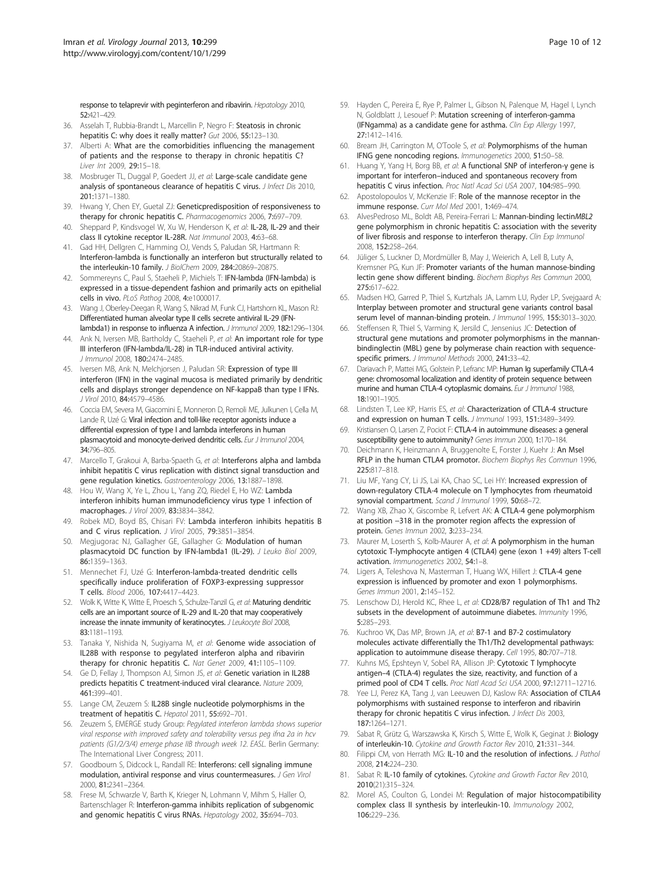<span id="page-9-0"></span>response to telaprevir with peginterferon and ribavirin. Hepatology 2010, 52:421–429.

- 36. Asselah T, Rubbia-Brandt L, Marcellin P, Negro F: Steatosis in chronic hepatitis C: why does it really matter? Gut 2006, 55:123–130.
- 37. Alberti A: What are the comorbidities influencing the management of patients and the response to therapy in chronic hepatitis C? Liver Int 2009, 29:15–18.
- 38. Mosbruger TL, Duggal P, Goedert JJ, et al: Large-scale candidate gene analysis of spontaneous clearance of hepatitis C virus. *J Infect Dis* 2010, 201:1371–1380.
- 39. Hwang Y, Chen EY, Guetal ZJ: Geneticpredisposition of responsiveness to therapy for chronic hepatitis C. Pharmacogenomics 2006, 7:697–709.
- Sheppard P, Kindsvogel W, Xu W, Henderson K, et al: IL-28, IL-29 and their class II cytokine receptor IL-28R. Nat Immunol 2003, 4:63–68.
- 41. Gad HH, Dellgren C, Hamming OJ, Vends S, Paludan SR, Hartmann R: Interferon-lambda is functionally an interferon but structurally related to the interleukin-10 family. J BiolChem 2009, 284:20869–20875.
- 42. Sommereyns C, Paul S, Staeheli P, Michiels T: IFN-lambda (IFN-lambda) is expressed in a tissue-dependent fashion and primarily acts on epithelial cells in vivo. PLoS Pathog 2008, 4:e1000017.
- 43. Wang J, Oberley-Deegan R, Wang S, Nikrad M, Funk CJ, Hartshorn KL, Mason RJ: Differentiated human alveolar type II cells secrete antiviral IL-29 (IFNlambda1) in response to influenza A infection. J Immunol 2009, 182:1296–1304.
- 44. Ank N, Iversen MB, Bartholdy C, Staeheli P, et al: An important role for type III interferon (IFN-lambda/IL-28) in TLR-induced antiviral activity. J Immunol 2008, 180:2474–2485.
- 45. Iversen MB, Ank N, Melchjorsen J, Paludan SR: Expression of type III interferon (IFN) in the vaginal mucosa is mediated primarily by dendritic cells and displays stronger dependence on NF-kappaB than type I IFNs. J Virol 2010, 84:4579–4586.
- 46. Coccia EM, Severa M, Giacomini E, Monneron D, Remoli ME, Julkunen I, Cella M, Lande R, Uzé G: Viral infection and toll-like receptor agonists induce a differential expression of type I and lambda interferons in human plasmacytoid and monocyte-derived dendritic cells. Eur J Immunol 2004, 34:796–805.
- 47. Marcello T, Grakoui A, Barba-Spaeth G, et al: Interferons alpha and lambda inhibit hepatitis C virus replication with distinct signal transduction and gene regulation kinetics. Gastroenterology 2006, 13:1887–1898.
- 48. Hou W, Wang X, Ye L, Zhou L, Yang ZQ, Riedel E, Ho WZ: Lambda interferon inhibits human immunodeficiency virus type 1 infection of macrophages. J Virol 2009, 83:3834–3842.
- 49. Robek MD, Boyd BS, Chisari FV: Lambda interferon inhibits hepatitis B and C virus replication. J Virol 2005, 79:3851-3854
- 50. Megjugorac NJ, Gallagher GE, Gallagher G: Modulation of human plasmacytoid DC function by IFN-lambda1 (IL-29). J Leuko Biol 2009, 86:1359–1363.
- 51. Mennechet FJ, Uzé G: Interferon-lambda-treated dendritic cells specifically induce proliferation of FOXP3-expressing suppressor T cells. Blood 2006, 107:4417–4423.
- 52. Wolk K, Witte K, Witte E, Proesch S, Schulze-Tanzil G, et al: Maturing dendritic cells are an important source of IL-29 and IL-20 that may cooperatively increase the innate immunity of keratinocytes. J Leukocyte Biol 2008, 83:1181–1193.
- 53. Tanaka Y, Nishida N, Sugiyama M, et al: Genome wide association of IL28B with response to pegylated interferon alpha and ribavirin therapy for chronic hepatitis C. Nat Genet 2009, 41:1105–1109.
- 54. Ge D, Fellay J, Thompson AJ, Simon JS, et al: Genetic variation in IL28B predicts hepatitis C treatment-induced viral clearance. Nature 2009, 461:399–401.
- 55. Lange CM, Zeuzem S: IL28B single nucleotide polymorphisms in the treatment of hepatitis C. Hepatol 2011, 55:692–701.
- 56. Zeuzem S, EMERGE study Group: Pegylated interferon lambda shows superior viral response with improved safety and tolerability versus peg ifnα 2a in hcv patients (G1/2/3/4) emerge phase IIB through week 12. EASL. Berlin Germany: The International Liver Congress; 2011.
- 57. Goodbourn S, Didcock L, Randall RE: Interferons: cell signaling immune modulation, antiviral response and virus countermeasures. J Gen Virol 2000, 81:2341–2364.
- 58. Frese M, Schwarzle V, Barth K, Krieger N, Lohmann V, Mihm S, Haller O, Bartenschlager R: Interferon-gamma inhibits replication of subgenomic and genomic hepatitis C virus RNAs. Hepatology 2002, 35:694–703.
- 59. Hayden C, Pereira E, Rye P, Palmer L, Gibson N, Palenque M, Hagel I, Lynch N, Goldblatt J, Lesouef P: Mutation screening of interferon-gamma (IFNgamma) as a candidate gene for asthma. Clin Exp Allergy 1997, 27:1412–1416.
- 60. Bream JH, Carrington M, O'Toole S, et al: Polymorphisms of the human IFNG gene noncoding regions. Immunogenetics 2000, 51:50–58.
- 61. Huang Y, Yang H, Borg BB, et al: A functional SNP of interferon-γ gene is important for interferon–induced and spontaneous recovery from hepatitis C virus infection. Proc Natl Acad Sci USA 2007, 104:985–990.
- 62. Apostolopoulos V, McKenzie IF: Role of the mannose receptor in the immune response. Curr Mol Med 2001, 1:469-474.
- 63. AlvesPedroso ML, Boldt AB, Pereira-Ferrari L: Mannan-binding lectinMBL2 gene polymorphism in chronic hepatitis C: association with the severity of liver fibrosis and response to interferon therapy. Clin Exp Immunol 2008, 152:258–264.
- 64. Jüliger S, Luckner D, Mordmüller B, May J, Weierich A, Lell B, Luty A, Kremsner PG, Kun JF: Promoter variants of the human mannose-binding lectin gene show different binding. Biochem Biophys Res Commun 2000, 275:617–622.
- 65. Madsen HO, Garred P, Thiel S, Kurtzhals JA, Lamm LU, Ryder LP, Svejgaard A: Interplay between promoter and structural gene variants control basal serum level of mannan-binding protein. J Immunol 1995, 155:3013-3020.
- 66. Steffensen R, Thiel S, Varming K, Jersild C, Jensenius JC: Detection of structural gene mutations and promoter polymorphisms in the mannanbindinglectin (MBL) gene by polymerase chain reaction with sequencespecific primers. J Immunol Methods 2000, 241:33–42.
- 67. Dariavach P, Mattei MG, Golstein P, Lefranc MP: Human Ig superfamily CTLA-4 gene: chromosomal localization and identity of protein sequence between murine and human CTLA-4 cytoplasmic domains. Eur J Immunol 1988, 18:1901–1905.
- 68. Lindsten T, Lee KP, Harris ES, et al: Characterization of CTLA-4 structure and expression on human T cells. J Immunol 1993, 151:3489-3499.
- 69. Kristiansen O, Larsen Z, Pociot F: CTLA-4 in autoimmune diseases: a general susceptibility gene to autoimmunity? Genes Immun 2000, 1:170–184.
- 70. Deichmann K, Heinzmann A, Bruggenolte E, Forster J, Kuehr J: An MseI RFLP in the human CTLA4 promotor. Biochem Biophys Res Commun 1996, 225:817–818.
- 71. Liu MF, Yang CY, Li JS, Lai KA, Chao SC, Lei HY: Increased expression of down-regulatory CTLA-4 molecule on T lymphocytes from rheumatoid synovial compartment. Scand J Immunol 1999, 50:68-72.
- 72. Wang XB, Zhao X, Giscombe R, Lefvert AK: A CTLA-4 gene polymorphism at position −318 in the promoter region affects the expression of protein. Genes Immun 2002, 3:233–234.
- 73. Maurer M, Loserth S, Kolb-Maurer A, et al: A polymorphism in the human cytotoxic T-lymphocyte antigen 4 (CTLA4) gene (exon 1 +49) alters T-cell activation. Immunogenetics 2002, 54:1–8.
- 74. Ligers A, Teleshova N, Masterman T, Huang WX, Hillert J: CTLA-4 gene expression is influenced by promoter and exon 1 polymorphisms. Genes Immun 2001, 2:145–152.
- 75. Lenschow DJ, Herold KC, Rhee L, et al: CD28/B7 regulation of Th1 and Th2 subsets in the development of autoimmune diabetes. Immunity 1996, 5:285–293.
- 76. Kuchroo VK, Das MP, Brown JA, et al: B7-1 and B7-2 costimulatory molecules activate differentially the Th1/Th2 developmental pathways: application to autoimmune disease therapy. Cell 1995, 80:707–718.
- 77. Kuhns MS, Epshteyn V, Sobel RA, Allison JP: Cytotoxic T lymphocyte antigen–4 (CTLA-4) regulates the size, reactivity, and function of a primed pool of CD4 T cells. Proc Natl Acad Sci USA 2000, 97:12711–12716.
- 78. Yee LJ, Perez KA, Tang J, van Leeuwen DJ, Kaslow RA: Association of CTLA4 polymorphisms with sustained response to interferon and ribavirin therapy for chronic hepatitis C virus infection. *J Infect Dis* 2003, 187:1264–1271.
- 79. Sabat R, Grütz G, Warszawska K, Kirsch S, Witte E, Wolk K, Geginat J: Biology of interleukin-10. Cytokine and Growth Factor Rev 2010, 21:331–344.
- 80. Filippi CM, von Herrath MG: IL-10 and the resolution of infections. J Pathol 2008, 214:224–230.
- 81. Sabat R: IL-10 family of cytokines. Cytokine and Growth Factor Rev 2010, 2010(21):315–324.
- 82. Morel AS, Coulton G, Londei M: Regulation of major histocompatibility complex class II synthesis by interleukin-10. Immunology 2002, 106:229–236.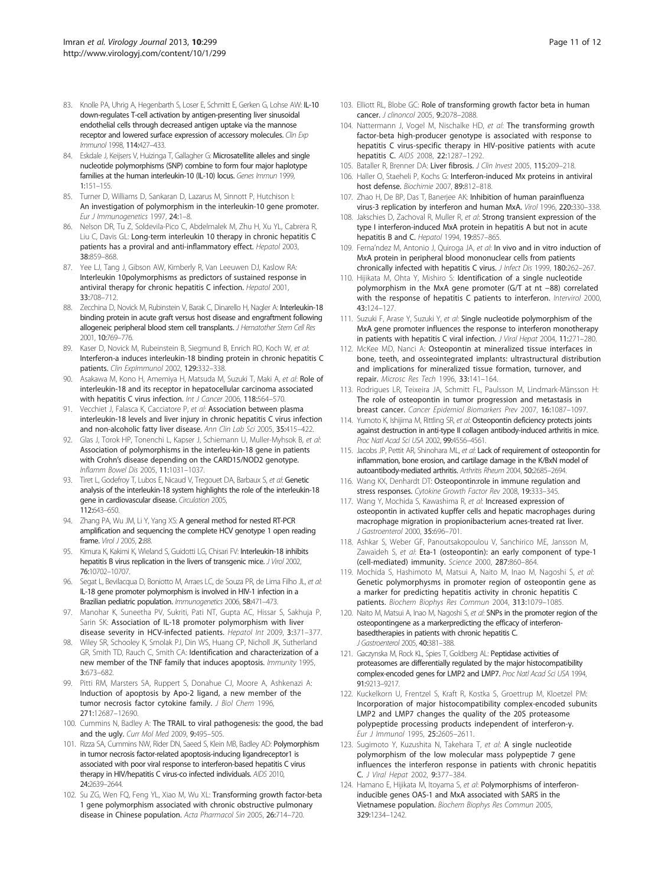- <span id="page-10-0"></span>83. Knolle PA, Uhrig A, Hegenbarth S, Loser E, Schmitt E, Gerken G, Lohse AW: IL-10 down-regulates T-cell activation by antigen-presenting liver sinusoidal endothelial cells through decreased antigen uptake via the mannose receptor and lowered surface expression of accessory molecules. Clin Exp Immunol 1998, 114:427–433.
- 84. Eskdale J, Keijsers V, Huizinga T, Gallagher G: Microsatellite alleles and single nucleotide polymorphisms (SNP) combine to form four major haplotype families at the human interleukin-10 (IL-10) locus. Genes Immun 1999, 1:151–155.
- 85. Turner D, Williams D, Sankaran D, Lazarus M, Sinnott P, Hutchison I: An investigation of polymorphism in the interleukin-10 gene promoter. Eur J Immunogenetics 1997, 24:1–8.
- 86. Nelson DR, Tu Z, Soldevila-Pico C, Abdelmalek M, Zhu H, Xu YL, Cabrera R, Liu C, Davis GL: Long-term interleukin 10 therapy in chronic hepatitis C patients has a proviral and anti-inflammatory effect. Hepatol 2003, 38:859–868.
- 87. Yee LJ, Tang J, Gibson AW, Kimberly R, Van Leeuwen DJ, Kaslow RA: Interleukin 10polymorphisms as predictors of sustained response in antiviral therapy for chronic hepatitis C infection. Hepatol 2001, 33:708–712.
- 88. Zecchina D, Novick M, Rubinstein V, Barak C, Dinarello H, Nagler A: Interleukin-18 binding protein in acute graft versus host disease and engraftment following allogeneic peripheral blood stem cell transplants. J Hematother Stem Cell Res 2001, 10:769–776.
- 89. Kaser D, Novick M, Rubeinstein B, Siegmund B, Enrich RO, Koch W, et al: Interferon-a induces interleukin-18 binding protein in chronic hepatitis C patients. Clin Explmmunol 2002, 129:332-338.
- 90. Asakawa M, Kono H, Amemiya H, Matsuda M, Suzuki T, Maki A, et al: Role of interleukin-18 and its receptor in hepatocellular carcinoma associated with hepatitis C virus infection. Int J Cancer 2006, 118:564-570.
- 91. Vecchiet J, Falasca K, Cacciatore P, et al: Association between plasma interleukin-18 levels and liver injury in chronic hepatitis C virus infection and non-alcoholic fatty liver disease. Ann Clin Lab Sci 2005, 35:415-422.
- 92. Glas J, Torok HP, Tonenchi L, Kapser J, Schiemann U, Muller-Myhsok B, et al: Association of polymorphisms in the interleu-kin-18 gene in patients with Crohn's disease depending on the CARD15/NOD2 genotype. Inflamm Bowel Dis 2005, 11:1031–1037.
- 93. Tiret L, Godefroy T, Lubos E, Nicaud V, Tregouet DA, Barbaux S, et al: Genetic analysis of the interleukin-18 system highlights the role of the interleukin-18 gene in cardiovascular disease. Circulation 2005, 112:643–650.
- 94. Zhang PA, Wu JM, Li Y, Yang XS: A general method for nested RT-PCR amplification and sequencing the complete HCV genotype 1 open reading frame. *Virol J* 2005. 2:88.
- 95. Kimura K, Kakimi K, Wieland S, Guidotti LG, Chisari FV: Interleukin-18 inhibits hepatitis B virus replication in the livers of transgenic mice. J Virol 2002, 76:10702–10707.
- 96. Segat L, Bevilacqua D, Boniotto M, Arraes LC, de Souza PR, de Lima Filho JL, et al: IL-18 gene promoter polymorphism is involved in HIV-1 infection in a Brazilian pediatric population. Immunogenetics 2006, 58:471–473.
- 97. Manohar K, Suneetha PV, Sukriti, Pati NT, Gupta AC, Hissar S, Sakhuja P, Sarin SK: Association of IL-18 promoter polymorphism with liver disease severity in HCV-infected patients. Hepatol Int 2009, 3:371–377.
- 98. Wiley SR, Schooley K, Smolak PJ, Din WS, Huang CP, Nicholl JK, Sutherland GR, Smith TD, Rauch C, Smith CA: Identification and characterization of a new member of the TNF family that induces apoptosis. Immunity 1995, 3:673–682.
- 99. Pitti RM, Marsters SA, Ruppert S, Donahue CJ, Moore A, Ashkenazi A: Induction of apoptosis by Apo-2 ligand, a new member of the tumor necrosis factor cytokine family. J Biol Chem 1996, 271:12687–12690.
- 100. Cummins N, Badley A: The TRAIL to viral pathogenesis: the good, the bad and the ugly. Curr Mol Med 2009, 9:495–505.
- 101. Rizza SA, Cummins NW, Rider DN, Saeed S, Klein MB, Badley AD: Polymorphism in tumor necrosis factor-related apoptosis-inducing ligandreceptor1 is associated with poor viral response to interferon-based hepatitis C virus therapy in HIV/hepatitis C virus-co infected individuals. AIDS 2010, 24:2639–2644.
- 102. Su ZG, Wen FQ, Feng YL, Xiao M, Wu XL: Transforming growth factor-beta 1 gene polymorphism associated with chronic obstructive pulmonary disease in Chinese population. Acta Pharmacol Sin 2005, 26:714–720.
- 103. Elliott RL, Blobe GC: Role of transforming growth factor beta in human cancer. J clinoncol 2005, 9:2078–2088.
- 104. Nattermann J, Vogel M, Nischalke HD, et al: The transforming growth factor-beta high-producer genotype is associated with response to hepatitis C virus-specific therapy in HIV-positive patients with acute hepatitis C. AIDS 2008, 22:1287–1292.
- 105. Bataller R, Brenner DA: Liver fibrosis. J Clin Invest 2005, 115:209–218.
- 106. Haller O, Staeheli P, Kochs G: Interferon-induced Mx proteins in antiviral host defense. Biochimie 2007, 89:812–818.
- 107. Zhao H, De BP, Das T, Banerjee AK: Inhibition of human parainfluenza virus-3 replication by interferon and human MxA. Virol 1996, 220:330–338.
- 108. Jakschies D, Zachoval R, Muller R, et al: Strong transient expression of the type I interferon-induced MxA protein in hepatitis A but not in acute hepatitis B and C. Hepatol 1994, 19:857-865.
- 109. Ferna'ndez M, Antonio J, Quiroga JA, et al: In vivo and in vitro induction of MxA protein in peripheral blood mononuclear cells from patients chronically infected with hepatitis C virus. J Infect Dis 1999, 180:262-267.
- 110. Hijikata M, Ohta Y, Mishiro S: Identification of a single nucleotide polymorphism in the MxA gene promoter (G/T at nt −88) correlated with the response of hepatitis C patients to interferon. Intervirol 2000, 43:124–127.
- 111. Suzuki F, Arase Y, Suzuki Y, et al: Single nucleotide polymorphism of the MxA gene promoter influences the response to interferon monotherapy in patients with hepatitis C viral infection. J Viral Hepat 2004, 11:271-280.
- 112. McKee MD, Nanci A: Osteopontin at mineralized tissue interfaces in bone, teeth, and osseointegrated implants: ultrastructural distribution and implications for mineralized tissue formation, turnover, and repair. Microsc Res Tech 1996, 33:141–164.
- 113. Rodrigues LR, Teixeira JA, Schmitt FL, Paulsson M, Lindmark-Mänsson H: The role of osteopontin in tumor progression and metastasis in breast cancer. Cancer Epidemiol Biomarkers Prev 2007, 16:1087–1097.
- 114. Yumoto K, Ishijima M, Rittling SR, et al: Osteopontin deficiency protects joints against destruction in anti-type II collagen antibody-induced arthritis in mice. Proc Natl Acad Sci USA 2002, 99:4556–4561.
- 115. Jacobs JP, Pettit AR, Shinohara ML, et al: Lack of requirement of osteopontin for inflammation, bone erosion, and cartilage damage in the K/BxN model of autoantibody-mediated arthritis. Arthritis Rheum 2004, 50:2685–2694.
- 116. Wang KX, Denhardt DT: Osteopontin:role in immune regulation and stress responses. Cytokine Growth Factor Rev 2008, 19:333–345.
- 117. Wang Y, Mochida S, Kawashima R, et al: Increased expression of osteopontin in activated kupffer cells and hepatic macrophages during macrophage migration in propionibacterium acnes-treated rat liver. J Gastroenterol 2000, 35:696–701.
- 118. Ashkar S, Weber GF, Panoutsakopoulou V, Sanchirico ME, Jansson M, Zawaideh S, et al: Eta-1 (osteopontin): an early component of type-1 (cell-mediated) immunity. Science 2000, 287:860–864.
- 119. Mochida S, Hashimoto M, Matsui A, Naito M, Inao M, Nagoshi S, et al: Genetic polymorphysms in promoter region of osteopontin gene as a marker for predicting hepatitis activity in chronic hepatitis C patients. Biochem Biophys Res Commun 2004, 313:1079–1085.
- 120. Naito M, Matsui A, Inao M, Nagoshi S, et al: SNPs in the promoter region of the osteopontingene as a markerpredicting the efficacy of interferonbasedtherapies in patients with chronic hepatitis C. J Gastroenterol 2005, 40:381–388.
- 121. Gaczynska M, Rock KL, Spies T, Goldberg AL: Peptidase activities of proteasomes are differentially regulated by the major histocompatibility complex-encoded genes for LMP2 and LMP7. Proc Natl Acad Sci USA 1994, 91:9213–9217.
- 122. Kuckelkorn U, Frentzel S, Kraft R, Kostka S, Groettrup M, Kloetzel PM: Incorporation of major histocompatibility complex-encoded subunits LMP2 and LMP7 changes the quality of the 20S proteasome polypeptide processing products independent of interferon-γ. Eur J Immunol 1995, 25:2605–2611.
- 123. Sugimoto Y, Kuzushita N, Takehara T, et al: A single nucleotide polymorphism of the low molecular mass polypeptide 7 gene influences the interferon response in patients with chronic hepatitis C. J Viral Hepat 2002, 9:377–384.
- 124. Hamano E, Hijikata M, Itoyama S, et al: Polymorphisms of interferoninducible genes OAS-1 and MxA associated with SARS in the Vietnamese population. Biochem Biophys Res Commun 2005, 329:1234–1242.